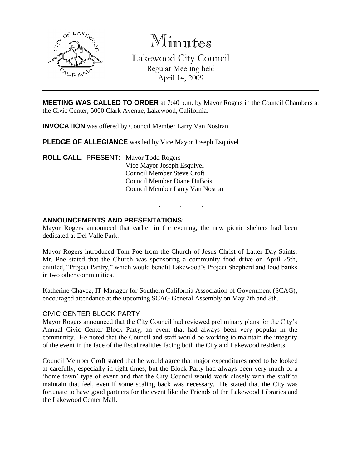

Minutes Lakewood City Council Regular Meeting held April 14, 2009

**MEETING WAS CALLED TO ORDER** at 7:40 p.m. by Mayor Rogers in the Council Chambers at the Civic Center, 5000 Clark Avenue, Lakewood, California.

**INVOCATION** was offered by Council Member Larry Van Nostran

**PLEDGE OF ALLEGIANCE** was led by Vice Mayor Joseph Esquivel

**ROLL CALL**: PRESENT: Mayor Todd Rogers Vice Mayor Joseph Esquivel Council Member Steve Croft Council Member Diane DuBois Council Member Larry Van Nostran

### **ANNOUNCEMENTS AND PRESENTATIONS:**

Mayor Rogers announced that earlier in the evening, the new picnic shelters had been dedicated at Del Valle Park.

. . .

Mayor Rogers introduced Tom Poe from the Church of Jesus Christ of Latter Day Saints. Mr. Poe stated that the Church was sponsoring a community food drive on April 25th, entitled, "Project Pantry," which would benefit Lakewood's Project Shepherd and food banks in two other communities.

Katherine Chavez, IT Manager for Southern California Association of Government (SCAG), encouraged attendance at the upcoming SCAG General Assembly on May 7th and 8th.

#### CIVIC CENTER BLOCK PARTY

Mayor Rogers announced that the City Council had reviewed preliminary plans for the City's Annual Civic Center Block Party, an event that had always been very popular in the community. He noted that the Council and staff would be working to maintain the integrity of the event in the face of the fiscal realities facing both the City and Lakewood residents.

Council Member Croft stated that he would agree that major expenditures need to be looked at carefully, especially in tight times, but the Block Party had always been very much of a 'home town' type of event and that the City Council would work closely with the staff to maintain that feel, even if some scaling back was necessary. He stated that the City was fortunate to have good partners for the event like the Friends of the Lakewood Libraries and the Lakewood Center Mall.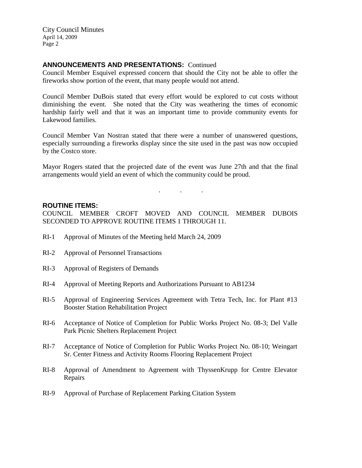## **ANNOUNCEMENTS AND PRESENTATIONS:** Continued

Council Member Esquivel expressed concern that should the City not be able to offer the fireworks show portion of the event, that many people would not attend.

Council Member DuBois stated that every effort would be explored to cut costs without diminishing the event. She noted that the City was weathering the times of economic hardship fairly well and that it was an important time to provide community events for Lakewood families.

Council Member Van Nostran stated that there were a number of unanswered questions, especially surrounding a fireworks display since the site used in the past was now occupied by the Costco store.

Mayor Rogers stated that the projected date of the event was June 27th and that the final arrangements would yield an event of which the community could be proud.

. . .

#### **ROUTINE ITEMS:**

COUNCIL MEMBER CROFT MOVED AND COUNCIL MEMBER DUBOIS SECONDED TO APPROVE ROUTINE ITEMS 1 THROUGH 11.

- RI-1 Approval of Minutes of the Meeting held March 24, 2009
- RI-2 Approval of Personnel Transactions
- RI-3 Approval of Registers of Demands
- RI-4 Approval of Meeting Reports and Authorizations Pursuant to AB1234
- RI-5 Approval of Engineering Services Agreement with Tetra Tech, Inc. for Plant #13 Booster Station Rehabilitation Project
- RI-6 Acceptance of Notice of Completion for Public Works Project No. 08-3; Del Valle Park Picnic Shelters Replacement Project
- RI-7 Acceptance of Notice of Completion for Public Works Project No. 08-10; Weingart Sr. Center Fitness and Activity Rooms Flooring Replacement Project
- RI-8 Approval of Amendment to Agreement with ThyssenKrupp for Centre Elevator Repairs
- RI-9 Approval of Purchase of Replacement Parking Citation System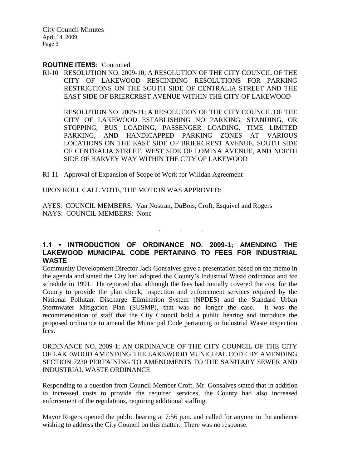#### **ROUTINE ITEMS:** Continued

RI-10 RESOLUTION NO. 2009-10; A RESOLUTION OF THE CITY COUNCIL OF THE CITY OF LAKEWOOD RESCINDING RESOLUTIONS FOR PARKING RESTRICTIONS ON THE SOUTH SIDE OF CENTRALIA STREET AND THE EAST SIDE OF BRIERCREST AVENUE WITHIN THE CITY OF LAKEWOOD

RESOLUTION NO. 2009-11; A RESOLUTION OF THE CITY COUNCIL OF THE CITY OF LAKEWOOD ESTABLISHING NO PARKING, STANDING, OR STOPPING, BUS LOADING, PASSENGER LOADING, TIME LIMITED PARKING, AND HANDICAPPED PARKING ZONES AT VARIOUS LOCATIONS ON THE EAST SIDE OF BRIERCREST AVENUE, SOUTH SIDE OF CENTRALIA STREET, WEST SIDE OF LOMINA AVENUE, AND NORTH SIDE OF HARVEY WAY WITHIN THE CITY OF LAKEWOOD

RI-11 Approval of Expansion of Scope of Work for Willdan Agreement

UPON ROLL CALL VOTE, THE MOTION WAS APPROVED:

AYES: COUNCIL MEMBERS: Van Nostran, DuBois, Croft, Esquivel and Rogers NAYS: COUNCIL MEMBERS: None

## **1.1 • INTRODUCTION OF ORDINANCE NO. 2009-1; AMENDING THE LAKEWOOD MUNICIPAL CODE PERTAINING TO FEES FOR INDUSTRIAL WASTE**

. . .

Community Development Director Jack Gonsalves gave a presentation based on the memo in the agenda and stated the City had adopted the County's Industrial Waste ordinance and fee schedule in 1991. He reported that although the fees had initially covered the cost for the County to provide the plan check, inspection and enforcement services required by the National Pollutant Discharge Elimination System (NPDES) and the Standard Urban Stormwater Mitigation Plan (SUSMP), that was no longer the case. It was the recommendation of staff that the City Council hold a public hearing and introduce the proposed ordinance to amend the Municipal Code pertaining to Industrial Waste inspection fees.

ORDINANCE NO. 2009-1; AN ORDINANCE OF THE CITY COUNCIL OF THE CITY OF LAKEWOOD AMENDING THE LAKEWOOD MUNICIPAL CODE BY AMENDING SECTION 7230 PERTAINING TO AMENDMENTS TO THE SANITARY SEWER AND INDUSTRIAL WASTE ORDINANCE

Responding to a question from Council Member Croft, Mr. Gonsalves stated that in addition to increased costs to provide the required services, the County had also increased enforcement of the regulations, requiring additional staffing.

Mayor Rogers opened the public hearing at 7:56 p.m. and called for anyone in the audience wishing to address the City Council on this matter. There was no response.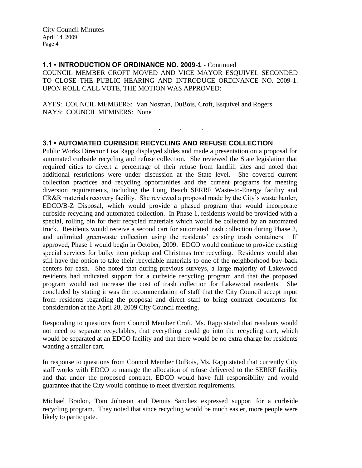**1.1 • INTRODUCTION OF ORDINANCE NO. 2009-1 -** Continued COUNCIL MEMBER CROFT MOVED AND VICE MAYOR ESQUIVEL SECONDED TO CLOSE THE PUBLIC HEARING AND INTRODUCE ORDINANCE NO. 2009-1. UPON ROLL CALL VOTE, THE MOTION WAS APPROVED:

. . .

AYES: COUNCIL MEMBERS: Van Nostran, DuBois, Croft, Esquivel and Rogers NAYS: COUNCIL MEMBERS: None

## **3.1 • AUTOMATED CURBSIDE RECYCLING AND REFUSE COLLECTION**

Public Works Director Lisa Rapp displayed slides and made a presentation on a proposal for automated curbside recycling and refuse collection. She reviewed the State legislation that required cities to divert a percentage of their refuse from landfill sites and noted that additional restrictions were under discussion at the State level. She covered current collection practices and recycling opportunities and the current programs for meeting diversion requirements, including the Long Beach SERRF Waste-to-Energy facility and CR&R materials recovery facility. She reviewed a proposal made by the City's waste hauler, EDCO/B-Z Disposal, which would provide a phased program that would incorporate curbside recycling and automated collection. In Phase 1, residents would be provided with a special, rolling bin for their recycled materials which would be collected by an automated truck. Residents would receive a second cart for automated trash collection during Phase 2, and unlimited greenwaste collection using the residents' existing trash containers. If approved, Phase 1 would begin in October, 2009. EDCO would continue to provide existing special services for bulky item pickup and Christmas tree recycling. Residents would also still have the option to take their recyclable materials to one of the neighborhood buy-back centers for cash. She noted that during previous surveys, a large majority of Lakewood residents had indicated support for a curbside recycling program and that the proposed program would not increase the cost of trash collection for Lakewood residents. She concluded by stating it was the recommendation of staff that the City Council accept input from residents regarding the proposal and direct staff to bring contract documents for consideration at the April 28, 2009 City Council meeting.

Responding to questions from Council Member Croft, Ms. Rapp stated that residents would not need to separate recyclables, that everything could go into the recycling cart, which would be separated at an EDCO facility and that there would be no extra charge for residents wanting a smaller cart.

In response to questions from Council Member DuBois, Ms. Rapp stated that currently City staff works with EDCO to manage the allocation of refuse delivered to the SERRF facility and that under the proposed contract, EDCO would have full responsibility and would guarantee that the City would continue to meet diversion requirements.

Michael Bradon, Tom Johnson and Dennis Sanchez expressed support for a curbside recycling program. They noted that since recycling would be much easier, more people were likely to participate.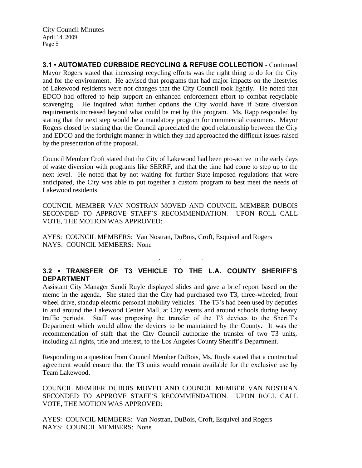**3.1 • AUTOMATED CURBSIDE RECYCLING & REFUSE COLLECTION** - Continued Mayor Rogers stated that increasing recycling efforts was the right thing to do for the City and for the environment. He advised that programs that had major impacts on the lifestyles of Lakewood residents were not changes that the City Council took lightly. He noted that EDCO had offered to help support an enhanced enforcement effort to combat recyclable scavenging. He inquired what further options the City would have if State diversion requirements increased beyond what could be met by this program. Ms. Rapp responded by stating that the next step would be a mandatory program for commercial customers. Mayor Rogers closed by stating that the Council appreciated the good relationship between the City and EDCO and the forthright manner in which they had approached the difficult issues raised by the presentation of the proposal.

Council Member Croft stated that the City of Lakewood had been pro-active in the early days of waste diversion with programs like SERRF, and that the time had come to step up to the next level. He noted that by not waiting for further State-imposed regulations that were anticipated, the City was able to put together a custom program to best meet the needs of Lakewood residents.

COUNCIL MEMBER VAN NOSTRAN MOVED AND COUNCIL MEMBER DUBOIS SECONDED TO APPROVE STAFF'S RECOMMENDATION. UPON ROLL CALL VOTE, THE MOTION WAS APPROVED:

AYES: COUNCIL MEMBERS: Van Nostran, DuBois, Croft, Esquivel and Rogers NAYS: COUNCIL MEMBERS: None

## **3.2 • TRANSFER OF T3 VEHICLE TO THE L.A. COUNTY SHERIFF'S DEPARTMENT**

. . .

Assistant City Manager Sandi Ruyle displayed slides and gave a brief report based on the memo in the agenda. She stated that the City had purchased two T3, three-wheeled, front wheel drive, standup electric personal mobility vehicles. The T3's had been used by deputies in and around the Lakewood Center Mall, at City events and around schools during heavy traffic periods. Staff was proposing the transfer of the T3 devices to the Sheriff's Department which would allow the devices to be maintained by the County. It was the recommendation of staff that the City Council authorize the transfer of two T3 units, including all rights, title and interest, to the Los Angeles County Sheriff's Department.

Responding to a question from Council Member DuBois, Ms. Ruyle stated that a contractual agreement would ensure that the T3 units would remain available for the exclusive use by Team Lakewood.

COUNCIL MEMBER DUBOIS MOVED AND COUNCIL MEMBER VAN NOSTRAN SECONDED TO APPROVE STAFF'S RECOMMENDATION. UPON ROLL CALL VOTE, THE MOTION WAS APPROVED:

AYES: COUNCIL MEMBERS: Van Nostran, DuBois, Croft, Esquivel and Rogers NAYS: COUNCIL MEMBERS: None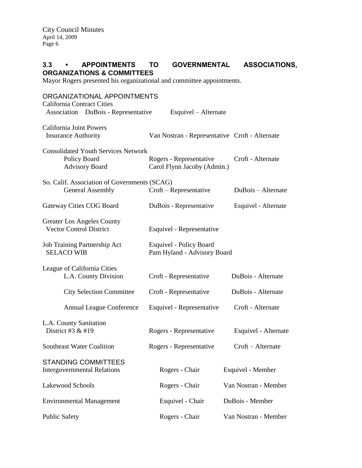## **3.3 • APPOINTMENTS TO GOVERNMENTAL ASSOCIATIONS, ORGANIZATIONS & COMMITTEES**

Mayor Rogers presented his organizational and committee appointments.

| ORGANIZATIONAL APPOINTMENTS<br><b>California Contract Cities</b>                    |                                                        |                      |
|-------------------------------------------------------------------------------------|--------------------------------------------------------|----------------------|
| Association DuBois - Representative                                                 | Esquivel – Alternate                                   |                      |
| <b>California Joint Powers</b><br><b>Insurance Authority</b>                        | Van Nostran - Representative Croft - Alternate         |                      |
| <b>Consolidated Youth Services Network</b><br>Policy Board<br><b>Advisory Board</b> | Rogers - Representative<br>Carol Flynn Jacoby (Admin.) | Croft - Alternate    |
| So. Calif. Association of Governments (SCAG)<br><b>General Assembly</b>             | Croft – Representative                                 | DuBois – Alternate   |
| Gateway Cities COG Board                                                            | DuBois - Representative                                | Esquivel - Alternate |
| <b>Greater Los Angeles County</b><br><b>Vector Control District</b>                 | Esquivel - Representative                              |                      |
| Job Training Partnership Act<br><b>SELACO WIB</b>                                   | Esquivel - Policy Board<br>Pam Hyland - Advisory Board |                      |
| League of California Cities<br>L.A. County Division                                 | Croft - Representative                                 | DuBois - Alternate   |
| <b>City Selection Committee</b>                                                     | Croft - Representative                                 | DuBois - Alternate   |
| <b>Annual League Conference</b>                                                     | Esquivel - Representative                              | Croft - Alternate    |
| L.A. County Sanitation<br>District #3 $&$ #19                                       | Rogers - Representative                                | Esquivel - Alternate |
| <b>Southeast Water Coalition</b>                                                    | Rogers - Representative                                | Croft - Alternate    |
| <b>STANDING COMMITTEES</b><br><b>Intergovernmental Relations</b>                    | Rogers - Chair                                         | Esquivel - Member    |
| Lakewood Schools                                                                    | Rogers - Chair                                         | Van Nostran - Member |
| <b>Environmental Management</b>                                                     | Esquivel - Chair                                       | DuBois - Member      |
| <b>Public Safety</b>                                                                | Rogers - Chair                                         | Van Nostran - Member |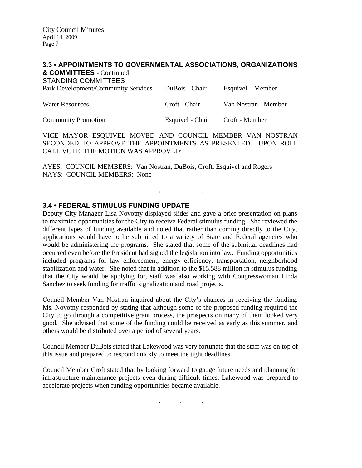### **3.3 • APPOINTMENTS TO GOVERNMENTAL ASSOCIATIONS, ORGANIZATIONS**

**& COMMITTEES** - Continued STANDING COMMITTEES

| <b>OTANUMO COMMITTELS</b><br>Park Development/Community Services | DuBois - Chair   | Esquivel – Member    |
|------------------------------------------------------------------|------------------|----------------------|
| <b>Water Resources</b>                                           | Croft - Chair    | Van Nostran - Member |
| <b>Community Promotion</b>                                       | Esquivel - Chair | Croft - Member       |

VICE MAYOR ESQUIVEL MOVED AND COUNCIL MEMBER VAN NOSTRAN SECONDED TO APPROVE THE APPOINTMENTS AS PRESENTED. UPON ROLL CALL VOTE, THE MOTION WAS APPROVED:

. . .

AYES: COUNCIL MEMBERS: Van Nostran, DuBois, Croft, Esquivel and Rogers NAYS: COUNCIL MEMBERS: None

## **3.4 • FEDERAL STIMULUS FUNDING UPDATE**

Deputy City Manager Lisa Novotny displayed slides and gave a brief presentation on plans to maximize opportunities for the City to receive Federal stimulus funding. She reviewed the different types of funding available and noted that rather than coming directly to the City, applications would have to be submitted to a variety of State and Federal agencies who would be administering the programs. She stated that some of the submittal deadlines had occurred even before the President had signed the legislation into law. Funding opportunities included programs for law enforcement, energy efficiency, transportation, neighborhood stabilization and water. She noted that in addition to the \$15.588 million in stimulus funding that the City would be applying for, staff was also working with Congresswoman Linda Sanchez to seek funding for traffic signalization and road projects.

Council Member Van Nostran inquired about the City's chances in receiving the funding. Ms. Novotny responded by stating that although some of the proposed funding required the City to go through a competitive grant process, the prospects on many of them looked very good. She advised that some of the funding could be received as early as this summer, and others would be distributed over a period of several years.

Council Member DuBois stated that Lakewood was very fortunate that the staff was on top of this issue and prepared to respond quickly to meet the tight deadlines.

Council Member Croft stated that by looking forward to gauge future needs and planning for infrastructure maintenance projects even during difficult times, Lakewood was prepared to accelerate projects when funding opportunities became available.

. . .